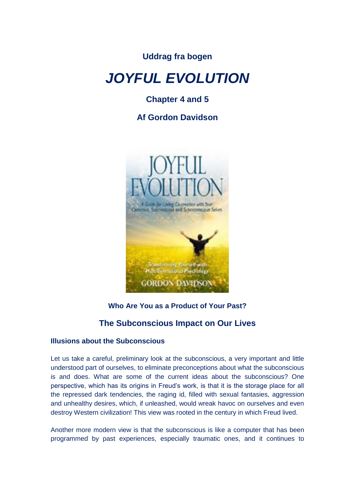**Uddrag fra bogen**

# *JOYFUL EVOLUTION*

## **Chapter 4 and 5**

**Af Gordon Davidson**



## **Who Are You as a Product of Your Past?**

## **The Subconscious Impact on Our Lives**

## **Illusions about the Subconscious**

Let us take a careful, preliminary look at the subconscious, a very important and little understood part of ourselves, to eliminate preconceptions about what the subconscious is and does. What are some of the current ideas about the subconscious? One perspective, which has its origins in Freud's work, is that it is the storage place for all the repressed dark tendencies, the raging id, filled with sexual fantasies, aggression and unhealthy desires, which, if unleashed, would wreak havoc on ourselves and even destroy Western civilization! This view was rooted in the century in which Freud lived.

Another more modern view is that the subconscious is like a computer that has been programmed by past experiences, especially traumatic ones, and it continues to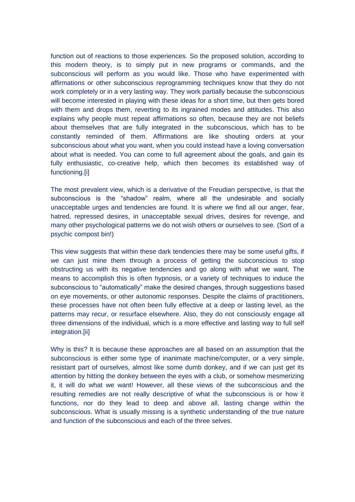function out of reactions to those experiences. So the proposed solution, according to this modern theory, is to simply put in new programs or commands, and the subconscious will perform as you would like. Those who have experimented with affirmations or other subconscious reprogramming techniques know that they do not work completely or in a very lasting way. They work partially because the subconscious will become interested in playing with these ideas for a short time, but then gets bored with them and drops them, reverting to its ingrained modes and attitudes. This also explains why people must repeat affirmations so often, because they are not beliefs about themselves that are fully integrated in the subconscious, which has to be constantly reminded of them. Affirmations are like shouting orders at your subconscious about what you want, when you could instead have a loving conversation about what is needed. You can come to full agreement about the goals, and gain its fully enthusiastic, co-creative help, which then becomes its established way of functioning.[i]

The most prevalent view, which is a derivative of the Freudian perspective, is that the subconscious is the "shadow" realm, where all the undesirable and socially unacceptable urges and tendencies are found. It is where we find all our anger, fear, hatred, repressed desires, in unacceptable sexual drives, desires for revenge, and many other psychological patterns we do not wish others or ourselves to see. (Sort of a psychic compost bin!)

This view suggests that within these dark tendencies there may be some useful gifts, if we can just mine them through a process of getting the subconscious to stop obstructing us with its negative tendencies and go along with what we want. The means to accomplish this is often hypnosis, or a variety of techniques to induce the subconscious to "automatically" make the desired changes, through suggestions based on eye movements, or other autonomic responses. Despite the claims of practitioners, these processes have not often been fully effective at a deep or lasting level, as the patterns may recur, or resurface elsewhere. Also, they do not consciously engage all three dimensions of the individual, which is a more effective and lasting way to full self integration.[ii]

Why is this? It is because these approaches are all based on an assumption that the subconscious is either some type of inanimate machine/computer, or a very simple, resistant part of ourselves, almost like some dumb donkey, and if we can just get its attention by hitting the donkey between the eyes with a club, or somehow mesmerizing it, it will do what we want! However, all these views of the subconscious and the resulting remedies are not really descriptive of what the subconscious is or how it functions, nor do they lead to deep and above all, lasting change within the subconscious. What is usually missing is a synthetic understanding of the true nature and function of the subconscious and each of the three selves.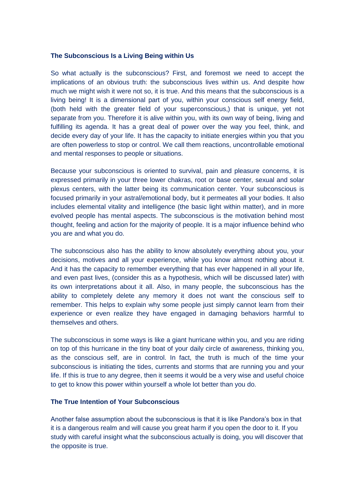#### **The Subconscious Is a Living Being within Us**

So what actually is the subconscious? First, and foremost we need to accept the implications of an obvious truth: the subconscious lives within us. And despite how much we might wish it were not so, it is true. And this means that the subconscious is a living being! It is a dimensional part of you, within your conscious self energy field, (both held with the greater field of your superconscious,) that is unique, yet not separate from you. Therefore it is alive within you, with its own way of being, living and fulfilling its agenda. It has a great deal of power over the way you feel, think, and decide every day of your life. It has the capacity to initiate energies within you that you are often powerless to stop or control. We call them reactions, uncontrollable emotional and mental responses to people or situations.

Because your subconscious is oriented to survival, pain and pleasure concerns, it is expressed primarily in your three lower chakras, root or base center, sexual and solar plexus centers, with the latter being its communication center. Your subconscious is focused primarily in your astral/emotional body, but it permeates all your bodies. It also includes elemental vitality and intelligence (the basic light within matter), and in more evolved people has mental aspects. The subconscious is the motivation behind most thought, feeling and action for the majority of people. It is a major influence behind who you are and what you do.

The subconscious also has the ability to know absolutely everything about you, your decisions, motives and all your experience, while you know almost nothing about it. And it has the capacity to remember everything that has ever happened in all your life, and even past lives, (consider this as a hypothesis, which will be discussed later) with its own interpretations about it all. Also, in many people, the subconscious has the ability to completely delete any memory it does not want the conscious self to remember. This helps to explain why some people just simply cannot learn from their experience or even realize they have engaged in damaging behaviors harmful to themselves and others.

The subconscious in some ways is like a giant hurricane within you, and you are riding on top of this hurricane in the tiny boat of your daily circle of awareness, thinking you, as the conscious self, are in control. In fact, the truth is much of the time your subconscious is initiating the tides, currents and storms that are running you and your life. If this is true to any degree, then it seems it would be a very wise and useful choice to get to know this power within yourself a whole lot better than you do.

#### **The True Intention of Your Subconscious**

Another false assumption about the subconscious is that it is like Pandora's box in that it is a dangerous realm and will cause you great harm if you open the door to it. If you study with careful insight what the subconscious actually is doing, you will discover that the opposite is true.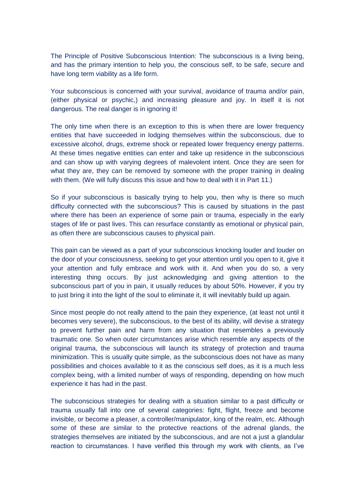The Principle of Positive Subconscious Intention: The subconscious is a living being, and has the primary intention to help you, the conscious self, to be safe, secure and have long term viability as a life form.

Your subconscious is concerned with your survival, avoidance of trauma and/or pain, (either physical or psychic,) and increasing pleasure and joy. In itself it is not dangerous. The real danger is in ignoring it!

The only time when there is an exception to this is when there are lower frequency entities that have succeeded in lodging themselves within the subconscious, due to excessive alcohol, drugs, extreme shock or repeated lower frequency energy patterns. At these times negative entities can enter and take up residence in the subconscious and can show up with varying degrees of malevolent intent. Once they are seen for what they are, they can be removed by someone with the proper training in dealing with them. (We will fully discuss this issue and how to deal with it in Part 11.)

So if your subconscious is basically trying to help you, then why is there so much difficulty connected with the subconscious? This is caused by situations in the past where there has been an experience of some pain or trauma, especially in the early stages of life or past lives. This can resurface constantly as emotional or physical pain, as often there are subconscious causes to physical pain.

This pain can be viewed as a part of your subconscious knocking louder and louder on the door of your consciousness, seeking to get your attention until you open to it, give it your attention and fully embrace and work with it. And when you do so, a very interesting thing occurs. By just acknowledging and giving attention to the subconscious part of you in pain, it usually reduces by about 50%. However, if you try to just bring it into the light of the soul to eliminate it, it will inevitably build up again.

Since most people do not really attend to the pain they experience, (at least not until it becomes very severe), the subconscious, to the best of its ability, will devise a strategy to prevent further pain and harm from any situation that resembles a previously traumatic one. So when outer circumstances arise which resemble any aspects of the original trauma, the subconscious will launch its strategy of protection and trauma minimization. This is usually quite simple, as the subconscious does not have as many possibilities and choices available to it as the conscious self does, as it is a much less complex being, with a limited number of ways of responding, depending on how much experience it has had in the past.

The subconscious strategies for dealing with a situation similar to a past difficulty or trauma usually fall into one of several categories: fight, flight, freeze and become invisible, or become a pleaser, a controller/manipulator, king of the realm, etc. Although some of these are similar to the protective reactions of the adrenal glands, the strategies themselves are initiated by the subconscious, and are not a just a glandular reaction to circumstances. I have verified this through my work with clients, as I've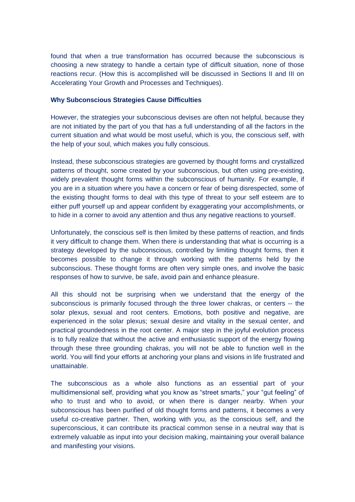found that when a true transformation has occurred because the subconscious is choosing a new strategy to handle a certain type of difficult situation, none of those reactions recur. (How this is accomplished will be discussed in Sections II and III on Accelerating Your Growth and Processes and Techniques).

#### **Why Subconscious Strategies Cause Difficulties**

However, the strategies your subconscious devises are often not helpful, because they are not initiated by the part of you that has a full understanding of all the factors in the current situation and what would be most useful, which is you, the conscious self, with the help of your soul, which makes you fully conscious.

Instead, these subconscious strategies are governed by thought forms and crystallized patterns of thought, some created by your subconscious, but often using pre-existing, widely prevalent thought forms within the subconscious of humanity. For example, if you are in a situation where you have a concern or fear of being disrespected, some of the existing thought forms to deal with this type of threat to your self esteem are to either puff yourself up and appear confident by exaggerating your accomplishments, or to hide in a corner to avoid any attention and thus any negative reactions to yourself.

Unfortunately, the conscious self is then limited by these patterns of reaction, and finds it very difficult to change them. When there is understanding that what is occurring is a strategy developed by the subconscious, controlled by limiting thought forms, then it becomes possible to change it through working with the patterns held by the subconscious. These thought forms are often very simple ones, and involve the basic responses of how to survive, be safe, avoid pain and enhance pleasure.

All this should not be surprising when we understand that the energy of the subconscious is primarily focused through the three lower chakras, or centers -- the solar plexus, sexual and root centers. Emotions, both positive and negative, are experienced in the solar plexus; sexual desire and vitality in the sexual center, and practical groundedness in the root center. A major step in the joyful evolution process is to fully realize that without the active and enthusiastic support of the energy flowing through these three grounding chakras, you will not be able to function well in the world. You will find your efforts at anchoring your plans and visions in life frustrated and unattainable.

The subconscious as a whole also functions as an essential part of your multidimensional self, providing what you know as "street smarts," your "gut feeling" of who to trust and who to avoid, or when there is danger nearby. When your subconscious has been purified of old thought forms and patterns, it becomes a very useful co-creative partner. Then, working with you, as the conscious self, and the superconscious, it can contribute its practical common sense in a neutral way that is extremely valuable as input into your decision making, maintaining your overall balance and manifesting your visions.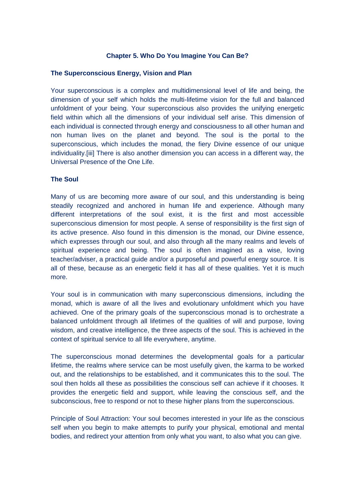#### **Chapter 5. Who Do You Imagine You Can Be?**

#### **The Superconscious Energy, Vision and Plan**

Your superconscious is a complex and multidimensional level of life and being, the dimension of your self which holds the multi-lifetime vision for the full and balanced unfoldment of your being. Your superconscious also provides the unifying energetic field within which all the dimensions of your individual self arise. This dimension of each individual is connected through energy and consciousness to all other human and non human lives on the planet and beyond. The soul is the portal to the superconscious, which includes the monad, the fiery Divine essence of our unique individuality.[iii] There is also another dimension you can access in a different way, the Universal Presence of the One Life.

#### **The Soul**

Many of us are becoming more aware of our soul, and this understanding is being steadily recognized and anchored in human life and experience. Although many different interpretations of the soul exist, it is the first and most accessible superconscious dimension for most people. A sense of responsibility is the first sign of its active presence. Also found in this dimension is the monad, our Divine essence, which expresses through our soul, and also through all the many realms and levels of spiritual experience and being. The soul is often imagined as a wise, loving teacher/adviser, a practical guide and/or a purposeful and powerful energy source. It is all of these, because as an energetic field it has all of these qualities. Yet it is much more.

Your soul is in communication with many superconscious dimensions, including the monad, which is aware of all the lives and evolutionary unfoldment which you have achieved. One of the primary goals of the superconscious monad is to orchestrate a balanced unfoldment through all lifetimes of the qualities of will and purpose, loving wisdom, and creative intelligence, the three aspects of the soul. This is achieved in the context of spiritual service to all life everywhere, anytime.

The superconscious monad determines the developmental goals for a particular lifetime, the realms where service can be most usefully given, the karma to be worked out, and the relationships to be established, and it communicates this to the soul. The soul then holds all these as possibilities the conscious self can achieve if it chooses. It provides the energetic field and support, while leaving the conscious self, and the subconscious, free to respond or not to these higher plans from the superconscious.

Principle of Soul Attraction: Your soul becomes interested in your life as the conscious self when you begin to make attempts to purify your physical, emotional and mental bodies, and redirect your attention from only what you want, to also what you can give.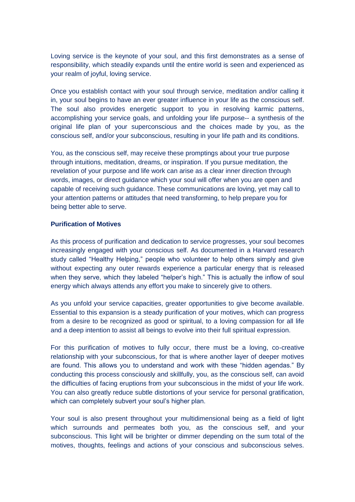Loving service is the keynote of your soul, and this first demonstrates as a sense of responsibility, which steadily expands until the entire world is seen and experienced as your realm of joyful, loving service.

Once you establish contact with your soul through service, meditation and/or calling it in, your soul begins to have an ever greater influence in your life as the conscious self. The soul also provides energetic support to you in resolving karmic patterns, accomplishing your service goals, and unfolding your life purpose-- a synthesis of the original life plan of your superconscious and the choices made by you, as the conscious self, and/or your subconscious, resulting in your life path and its conditions.

You, as the conscious self, may receive these promptings about your true purpose through intuitions, meditation, dreams, or inspiration. If you pursue meditation, the revelation of your purpose and life work can arise as a clear inner direction through words, images, or direct guidance which your soul will offer when you are open and capable of receiving such guidance. These communications are loving, yet may call to your attention patterns or attitudes that need transforming, to help prepare you for being better able to serve.

#### **Purification of Motives**

As this process of purification and dedication to service progresses, your soul becomes increasingly engaged with your conscious self. As documented in a Harvard research study called "Healthy Helping," people who volunteer to help others simply and give without expecting any outer rewards experience a particular energy that is released when they serve, which they labeled "helper's high." This is actually the inflow of soul energy which always attends any effort you make to sincerely give to others.

As you unfold your service capacities, greater opportunities to give become available. Essential to this expansion is a steady purification of your motives, which can progress from a desire to be recognized as good or spiritual, to a loving compassion for all life and a deep intention to assist all beings to evolve into their full spiritual expression.

For this purification of motives to fully occur, there must be a loving, co-creative relationship with your subconscious, for that is where another layer of deeper motives are found. This allows you to understand and work with these "hidden agendas." By conducting this process consciously and skillfully, you, as the conscious self, can avoid the difficulties of facing eruptions from your subconscious in the midst of your life work. You can also greatly reduce subtle distortions of your service for personal gratification, which can completely subvert your soul's higher plan.

Your soul is also present throughout your multidimensional being as a field of light which surrounds and permeates both you, as the conscious self, and your subconscious. This light will be brighter or dimmer depending on the sum total of the motives, thoughts, feelings and actions of your conscious and subconscious selves.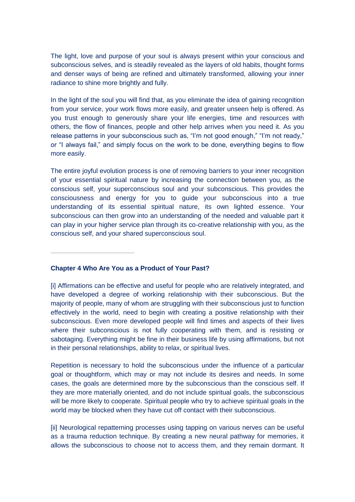The light, love and purpose of your soul is always present within your conscious and subconscious selves, and is steadily revealed as the layers of old habits, thought forms and denser ways of being are refined and ultimately transformed, allowing your inner radiance to shine more brightly and fully.

In the light of the soul you will find that, as you eliminate the idea of gaining recognition from your service, your work flows more easily, and greater unseen help is offered. As you trust enough to generously share your life energies, time and resources with others, the flow of finances, people and other help arrives when you need it. As you release patterns in your subconscious such as, "I'm not good enough," "I'm not ready," or "I always fail," and simply focus on the work to be done, everything begins to flow more easily.

The entire joyful evolution process is one of removing barriers to your inner recognition of your essential spiritual nature by increasing the connection between you, as the conscious self, your superconscious soul and your subconscious. This provides the consciousness and energy for you to guide your subconscious into a true understanding of its essential spiritual nature, its own lighted essence. Your subconscious can then grow into an understanding of the needed and valuable part it can play in your higher service plan through its co-creative relationship with you, as the conscious self, and your shared superconscious soul.

#### **Chapter 4 Who Are You as a Product of Your Past?**

[i] Affirmations can be effective and useful for people who are relatively integrated, and have developed a degree of working relationship with their subconscious. But the majority of people, many of whom are struggling with their subconscious just to function effectively in the world, need to begin with creating a positive relationship with their subconscious. Even more developed people will find times and aspects of their lives where their subconscious is not fully cooperating with them, and is resisting or sabotaging. Everything might be fine in their business life by using affirmations, but not in their personal relationships, ability to relax, or spiritual lives.

Repetition is necessary to hold the subconscious under the influence of a particular goal or thoughtform, which may or may not include its desires and needs. In some cases, the goals are determined more by the subconscious than the conscious self. If they are more materially oriented, and do not include spiritual goals, the subconscious will be more likely to cooperate. Spiritual people who try to achieve spiritual goals in the world may be blocked when they have cut off contact with their subconscious.

[ii] Neurological repatterning processes using tapping on various nerves can be useful as a trauma reduction technique. By creating a new neural pathway for memories, it allows the subconscious to choose not to access them, and they remain dormant. It